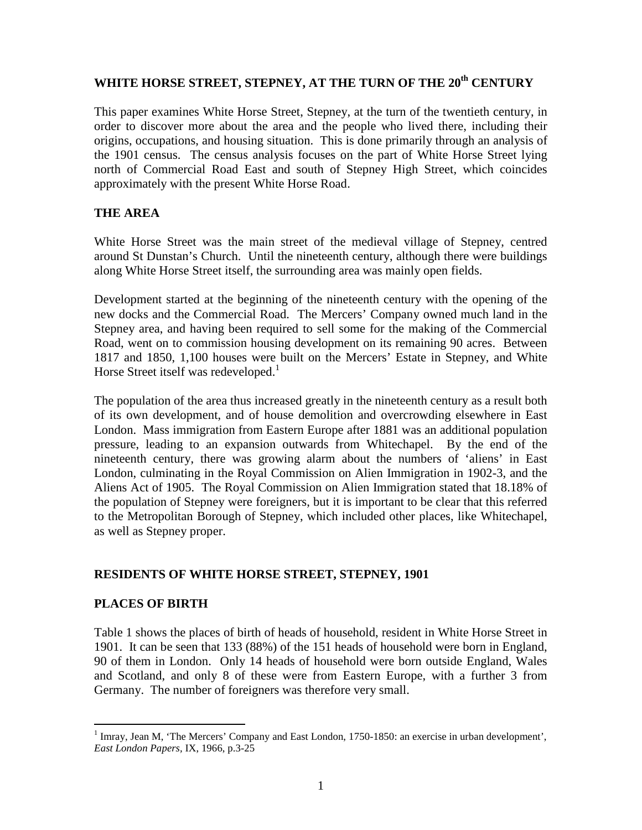# WHITE HORSE STREET, STEPNEY, AT THE TURN OF THE 20<sup>th</sup> CENTURY

This paper examines White Horse Street, Stepney, at the turn of the twentieth century, in order to discover more about the area and the people who lived there, including their origins, occupations, and housing situation. This is done primarily through an analysis of the 1901 census. The census analysis focuses on the part of White Horse Street lying north of Commercial Road East and south of Stepney High Street, which coincides approximately with the present White Horse Road.

## **THE AREA**

White Horse Street was the main street of the medieval village of Stepney, centred around St Dunstan's Church. Until the nineteenth century, although there were buildings along White Horse Street itself, the surrounding area was mainly open fields.

Development started at the beginning of the nineteenth century with the opening of the new docks and the Commercial Road. The Mercers' Company owned much land in the Stepney area, and having been required to sell some for the making of the Commercial Road, went on to commission housing development on its remaining 90 acres. Between 1817 and 1850, 1,100 houses were built on the Mercers' Estate in Stepney, and White Horse Street itself was redeveloped.<sup>1</sup>

The population of the area thus increased greatly in the nineteenth century as a result both of its own development, and of house demolition and overcrowding elsewhere in East London. Mass immigration from Eastern Europe after 1881 was an additional population pressure, leading to an expansion outwards from Whitechapel. By the end of the nineteenth century, there was growing alarm about the numbers of 'aliens' in East London, culminating in the Royal Commission on Alien Immigration in 1902-3, and the Aliens Act of 1905. The Royal Commission on Alien Immigration stated that 18.18% of the population of Stepney were foreigners, but it is important to be clear that this referred to the Metropolitan Borough of Stepney, which included other places, like Whitechapel, as well as Stepney proper.

## **RESIDENTS OF WHITE HORSE STREET, STEPNEY, 1901**

## **PLACES OF BIRTH**

Table 1 shows the places of birth of heads of household, resident in White Horse Street in 1901. It can be seen that 133 (88%) of the 151 heads of household were born in England, 90 of them in London. Only 14 heads of household were born outside England, Wales and Scotland, and only 8 of these were from Eastern Europe, with a further 3 from Germany. The number of foreigners was therefore very small.

<sup>&</sup>lt;sup>1</sup> Imray, Jean M, 'The Mercers' Company and East London, 1750-1850: an exercise in urban development', *East London Papers,* IX, 1966, p.3-25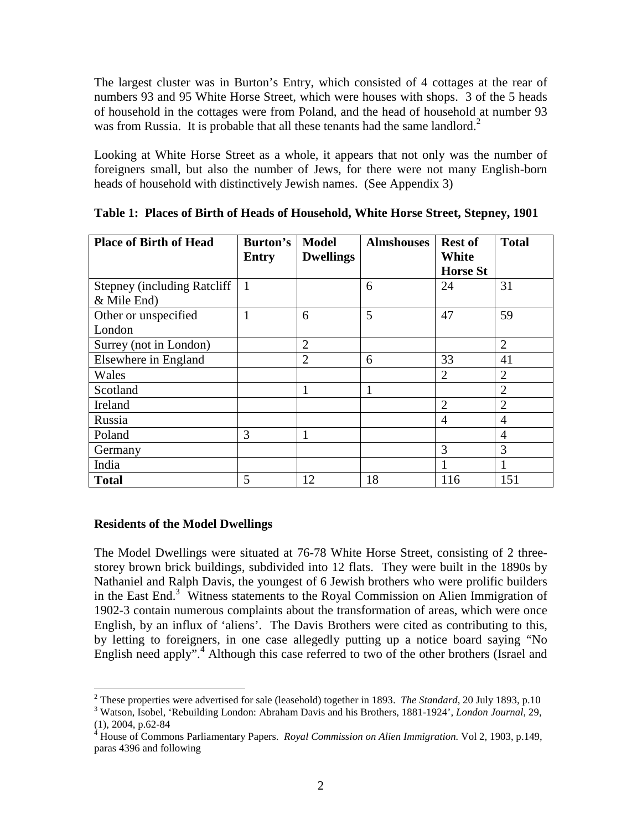The largest cluster was in Burton's Entry, which consisted of 4 cottages at the rear of numbers 93 and 95 White Horse Street, which were houses with shops. 3 of the 5 heads of household in the cottages were from Poland, and the head of household at number 93 was from Russia. It is probable that all these tenants had the same landlord.<sup>2</sup>

Looking at White Horse Street as a whole, it appears that not only was the number of foreigners small, but also the number of Jews, for there were not many English-born heads of household with distinctively Jewish names. (See Appendix 3)

| <b>Place of Birth of Head</b>       | Burton's<br><b>Entry</b> | <b>Model</b><br><b>Dwellings</b> | <b>Almshouses</b> | <b>Rest of</b><br>White | <b>Total</b>   |
|-------------------------------------|--------------------------|----------------------------------|-------------------|-------------------------|----------------|
|                                     |                          |                                  |                   | <b>Horse St</b>         |                |
| <b>Stepney (including Ratcliff)</b> | $\overline{1}$           |                                  | 6                 | 24                      | 31             |
| & Mile End)                         |                          |                                  |                   |                         |                |
| Other or unspecified                | 1                        | 6                                | 5                 | 47                      | 59             |
| London                              |                          |                                  |                   |                         |                |
| Surrey (not in London)              |                          | $\overline{2}$                   |                   |                         | $\overline{2}$ |
| Elsewhere in England                |                          | $\overline{2}$                   | 6                 | 33                      | 41             |
| Wales                               |                          |                                  |                   | $\overline{2}$          | $\overline{2}$ |
| Scotland                            |                          | 1                                |                   |                         | $\overline{2}$ |
| Ireland                             |                          |                                  |                   | $\overline{2}$          | $\overline{2}$ |
| Russia                              |                          |                                  |                   | 4                       | $\overline{4}$ |
| Poland                              | 3                        | 1                                |                   |                         | $\overline{4}$ |
| Germany                             |                          |                                  |                   | 3                       | 3              |
| India                               |                          |                                  |                   |                         |                |
| <b>Total</b>                        | 5                        | 12                               | 18                | 116                     | 151            |

**Table 1: Places of Birth of Heads of Household, White Horse Street, Stepney, 1901** 

#### **Residents of the Model Dwellings**

The Model Dwellings were situated at 76-78 White Horse Street, consisting of 2 threestorey brown brick buildings, subdivided into 12 flats. They were built in the 1890s by Nathaniel and Ralph Davis, the youngest of 6 Jewish brothers who were prolific builders in the East End.<sup>3</sup> Witness statements to the Royal Commission on Alien Immigration of 1902-3 contain numerous complaints about the transformation of areas, which were once English, by an influx of 'aliens'. The Davis Brothers were cited as contributing to this, by letting to foreigners, in one case allegedly putting up a notice board saying "No English need apply".<sup>4</sup> Although this case referred to two of the other brothers (Israel and

 2 These properties were advertised for sale (leasehold) together in 1893. *The Standard*, 20 July 1893, p.10

<sup>3</sup> Watson, Isobel, 'Rebuilding London: Abraham Davis and his Brothers, 1881-1924', *London Journal*, 29,

<sup>(1), 2004,</sup> p.62-84 4 House of Commons Parliamentary Papers. *Royal Commission on Alien Immigration.* Vol 2, 1903, p.149, paras 4396 and following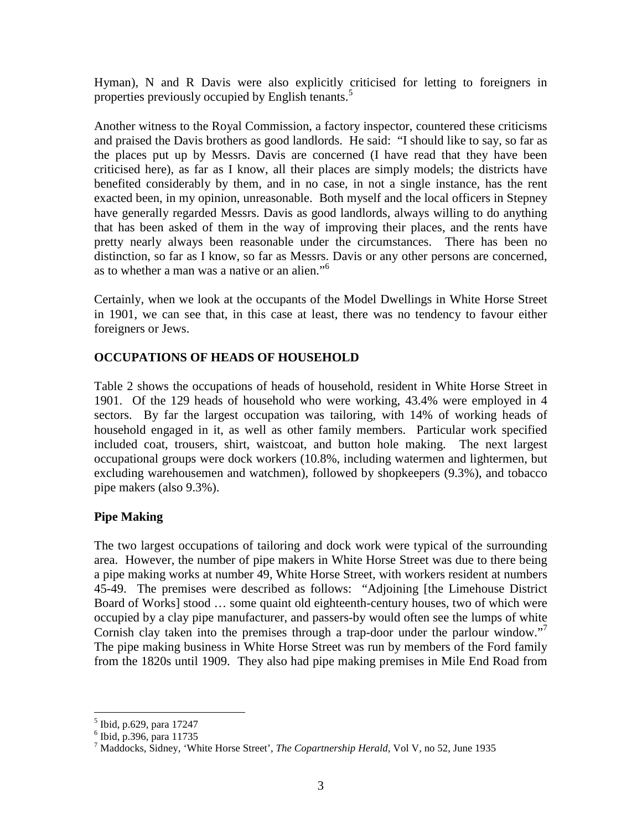Hyman), N and R Davis were also explicitly criticised for letting to foreigners in properties previously occupied by English tenants.<sup>5</sup>

Another witness to the Royal Commission, a factory inspector, countered these criticisms and praised the Davis brothers as good landlords. He said: "I should like to say, so far as the places put up by Messrs. Davis are concerned (I have read that they have been criticised here), as far as I know, all their places are simply models; the districts have benefited considerably by them, and in no case, in not a single instance, has the rent exacted been, in my opinion, unreasonable. Both myself and the local officers in Stepney have generally regarded Messrs. Davis as good landlords, always willing to do anything that has been asked of them in the way of improving their places, and the rents have pretty nearly always been reasonable under the circumstances. There has been no distinction, so far as I know, so far as Messrs. Davis or any other persons are concerned, as to whether a man was a native or an alien."<sup>6</sup>

Certainly, when we look at the occupants of the Model Dwellings in White Horse Street in 1901, we can see that, in this case at least, there was no tendency to favour either foreigners or Jews.

## **OCCUPATIONS OF HEADS OF HOUSEHOLD**

Table 2 shows the occupations of heads of household, resident in White Horse Street in 1901. Of the 129 heads of household who were working, 43.4% were employed in 4 sectors. By far the largest occupation was tailoring, with 14% of working heads of household engaged in it, as well as other family members. Particular work specified included coat, trousers, shirt, waistcoat, and button hole making. The next largest occupational groups were dock workers (10.8%, including watermen and lightermen, but excluding warehousemen and watchmen), followed by shopkeepers (9.3%), and tobacco pipe makers (also 9.3%).

## **Pipe Making**

The two largest occupations of tailoring and dock work were typical of the surrounding area. However, the number of pipe makers in White Horse Street was due to there being a pipe making works at number 49, White Horse Street, with workers resident at numbers 45-49. The premises were described as follows: "Adjoining [the Limehouse District Board of Works] stood … some quaint old eighteenth-century houses, two of which were occupied by a clay pipe manufacturer, and passers-by would often see the lumps of white Cornish clay taken into the premises through a trap-door under the parlour window."<sup>7</sup> The pipe making business in White Horse Street was run by members of the Ford family from the 1820s until 1909. They also had pipe making premises in Mile End Road from

 $\overline{a}$ 

<sup>5</sup> Ibid, p.629, para 17247

<sup>6</sup> Ibid, p.396, para 11735

<sup>7</sup> Maddocks, Sidney, 'White Horse Street', *The Copartnership Herald,* Vol V, no 52, June 1935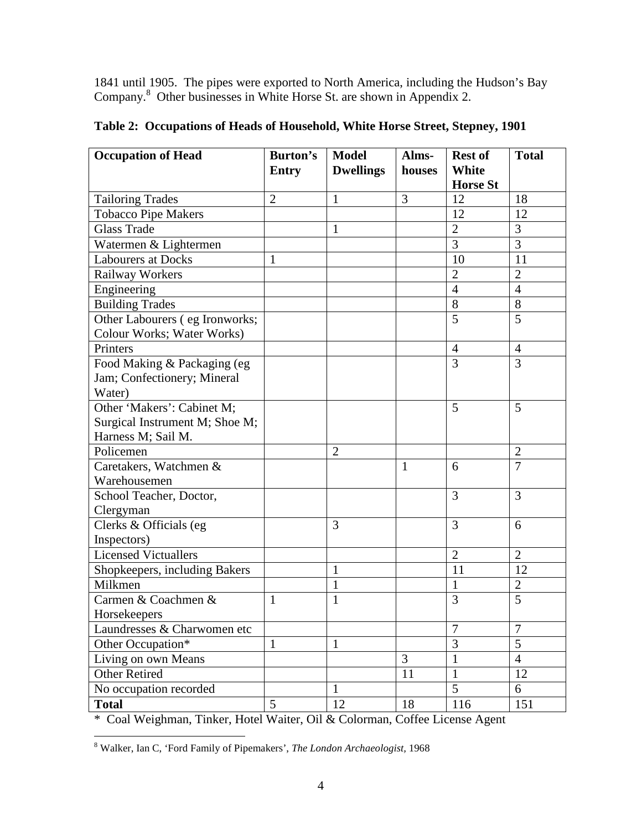1841 until 1905. The pipes were exported to North America, including the Hudson's Bay Company.<sup>8</sup> Other businesses in White Horse St. are shown in Appendix 2.

| <b>Occupation of Head</b>      | Burton's       | <b>Model</b>     | Alms-          | <b>Rest of</b>  | <b>Total</b>   |
|--------------------------------|----------------|------------------|----------------|-----------------|----------------|
|                                | <b>Entry</b>   | <b>Dwellings</b> | houses         | White           |                |
|                                |                |                  |                | <b>Horse St</b> |                |
| <b>Tailoring Trades</b>        | $\overline{2}$ | 1                | 3              | 12              | 18             |
| <b>Tobacco Pipe Makers</b>     |                |                  |                | 12              | 12             |
| <b>Glass Trade</b>             |                | $\mathbf{1}$     |                | $\overline{2}$  | 3              |
| Watermen & Lightermen          |                |                  |                | $\overline{3}$  | $\overline{3}$ |
| <b>Labourers at Docks</b>      | 1              |                  |                | 10              | 11             |
| <b>Railway Workers</b>         |                |                  |                | $\overline{2}$  | $\overline{2}$ |
| Engineering                    |                |                  |                | $\overline{4}$  | $\overline{4}$ |
| <b>Building Trades</b>         |                |                  |                | 8               | 8              |
| Other Labourers (eg Ironworks; |                |                  |                | 5               | 5              |
| Colour Works; Water Works)     |                |                  |                |                 |                |
| Printers                       |                |                  |                | $\overline{4}$  | $\overline{4}$ |
| Food Making & Packaging (eg    |                |                  |                | $\overline{3}$  | $\overline{3}$ |
| Jam; Confectionery; Mineral    |                |                  |                |                 |                |
| Water)                         |                |                  |                |                 |                |
| Other 'Makers': Cabinet M;     |                |                  |                | 5               | 5              |
| Surgical Instrument M; Shoe M; |                |                  |                |                 |                |
| Harness M; Sail M.             |                |                  |                |                 |                |
| Policemen                      |                | $\overline{2}$   |                |                 | $\overline{2}$ |
| Caretakers, Watchmen &         |                |                  | $\mathbf{1}$   | 6               | $\overline{7}$ |
| Warehousemen                   |                |                  |                |                 |                |
| School Teacher, Doctor,        |                |                  |                | 3               | 3              |
| Clergyman                      |                |                  |                |                 |                |
| Clerks & Officials (eg         |                | 3                |                | 3               | 6              |
| Inspectors)                    |                |                  |                |                 |                |
| <b>Licensed Victuallers</b>    |                |                  |                | $\overline{2}$  | $\overline{2}$ |
| Shopkeepers, including Bakers  |                | 1                |                | 11              | 12             |
| Milkmen                        |                | 1                |                | 1               | $\overline{2}$ |
| Carmen & Coachmen &            | 1              | $\mathbf{1}$     |                | 3               | 5              |
| Horsekeepers                   |                |                  |                |                 |                |
| Laundresses & Charwomen etc    |                |                  |                | $\overline{7}$  | $\overline{7}$ |
| Other Occupation*              | $\mathbf{1}$   | $\mathbf{1}$     |                | 3               | $\overline{5}$ |
| Living on own Means            |                |                  | $\overline{3}$ | $\mathbf{1}$    | $\overline{4}$ |
| <b>Other Retired</b>           |                |                  | 11             | $\mathbf{1}$    | 12             |
| No occupation recorded         |                | $\mathbf{1}$     |                | 5               | 6              |
| <b>Total</b>                   | 5              | 12               | 18             | 116             | 151            |

**Table 2: Occupations of Heads of Household, White Horse Street, Stepney, 1901** 

\* Coal Weighman, Tinker, Hotel Waiter, Oil & Colorman, Coffee License Agent

 8 Walker, Ian C, 'Ford Family of Pipemakers', *The London Archaeologist,* 1968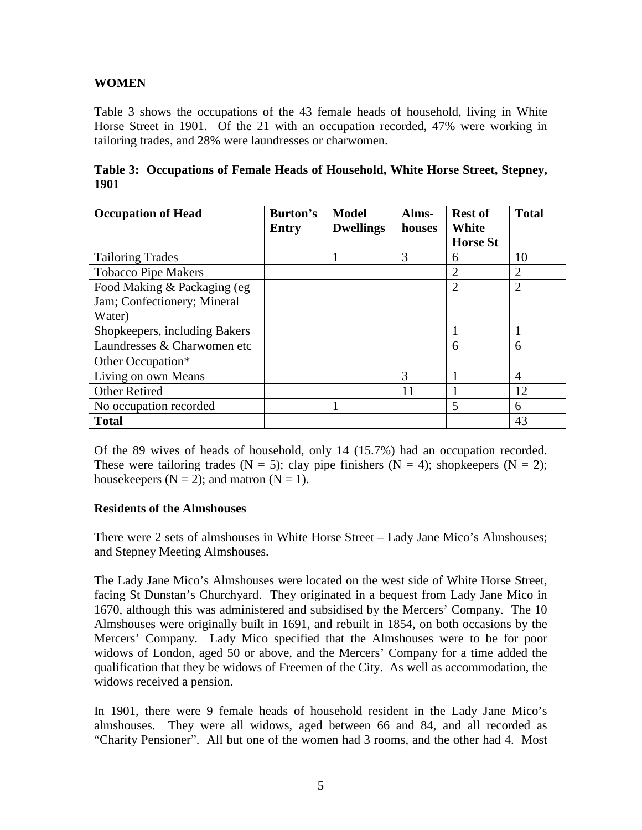## **WOMEN**

Table 3 shows the occupations of the 43 female heads of household, living in White Horse Street in 1901. Of the 21 with an occupation recorded, 47% were working in tailoring trades, and 28% were laundresses or charwomen.

|             | Table 3: Occupations of Female Heads of Household, White Horse Street, Stepney, |  |  |
|-------------|---------------------------------------------------------------------------------|--|--|
| <b>1901</b> |                                                                                 |  |  |

| <b>Occupation of Head</b>     | Burton's     | <b>Model</b>     | Alms-  | <b>Rest of</b>  | <b>Total</b>   |
|-------------------------------|--------------|------------------|--------|-----------------|----------------|
|                               | <b>Entry</b> | <b>Dwellings</b> | houses | <b>White</b>    |                |
|                               |              |                  |        | <b>Horse St</b> |                |
| <b>Tailoring Trades</b>       |              |                  | 3      | 6               | 10             |
| <b>Tobacco Pipe Makers</b>    |              |                  |        | $\overline{2}$  | 2              |
| Food Making & Packaging (eg)  |              |                  |        | $\overline{2}$  | $\overline{2}$ |
| Jam; Confectionery; Mineral   |              |                  |        |                 |                |
| Water)                        |              |                  |        |                 |                |
| Shopkeepers, including Bakers |              |                  |        |                 |                |
| Laundresses & Charwomen etc   |              |                  |        | 6               | 6              |
| Other Occupation*             |              |                  |        |                 |                |
| Living on own Means           |              |                  | 3      |                 | $\overline{A}$ |
| <b>Other Retired</b>          |              |                  | 11     |                 | 12             |
| No occupation recorded        |              |                  |        | 5               | 6              |
| <b>Total</b>                  |              |                  |        |                 | 43             |

Of the 89 wives of heads of household, only 14 (15.7%) had an occupation recorded. These were tailoring trades (N = 5); clay pipe finishers (N = 4); shopkeepers (N = 2); housekeepers  $(N = 2)$ ; and matron  $(N = 1)$ .

#### **Residents of the Almshouses**

There were 2 sets of almshouses in White Horse Street – Lady Jane Mico's Almshouses; and Stepney Meeting Almshouses.

The Lady Jane Mico's Almshouses were located on the west side of White Horse Street, facing St Dunstan's Churchyard. They originated in a bequest from Lady Jane Mico in 1670, although this was administered and subsidised by the Mercers' Company. The 10 Almshouses were originally built in 1691, and rebuilt in 1854, on both occasions by the Mercers' Company. Lady Mico specified that the Almshouses were to be for poor widows of London, aged 50 or above, and the Mercers' Company for a time added the qualification that they be widows of Freemen of the City. As well as accommodation, the widows received a pension.

In 1901, there were 9 female heads of household resident in the Lady Jane Mico's almshouses. They were all widows, aged between 66 and 84, and all recorded as "Charity Pensioner". All but one of the women had 3 rooms, and the other had 4. Most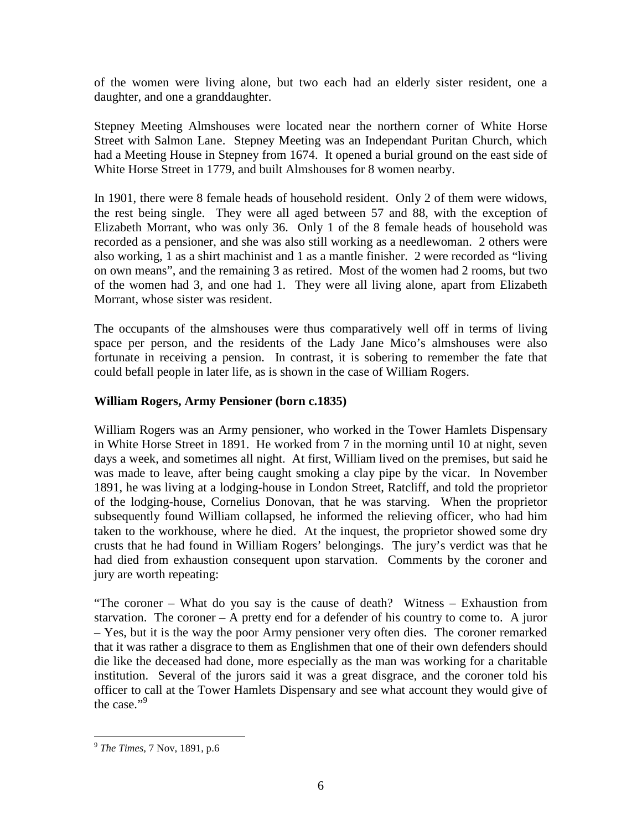of the women were living alone, but two each had an elderly sister resident, one a daughter, and one a granddaughter.

Stepney Meeting Almshouses were located near the northern corner of White Horse Street with Salmon Lane. Stepney Meeting was an Independant Puritan Church, which had a Meeting House in Stepney from 1674. It opened a burial ground on the east side of White Horse Street in 1779, and built Almshouses for 8 women nearby.

In 1901, there were 8 female heads of household resident. Only 2 of them were widows, the rest being single. They were all aged between 57 and 88, with the exception of Elizabeth Morrant, who was only 36. Only 1 of the 8 female heads of household was recorded as a pensioner, and she was also still working as a needlewoman. 2 others were also working, 1 as a shirt machinist and 1 as a mantle finisher. 2 were recorded as "living on own means", and the remaining 3 as retired. Most of the women had 2 rooms, but two of the women had 3, and one had 1. They were all living alone, apart from Elizabeth Morrant, whose sister was resident.

The occupants of the almshouses were thus comparatively well off in terms of living space per person, and the residents of the Lady Jane Mico's almshouses were also fortunate in receiving a pension. In contrast, it is sobering to remember the fate that could befall people in later life, as is shown in the case of William Rogers.

## **William Rogers, Army Pensioner (born c.1835)**

William Rogers was an Army pensioner, who worked in the Tower Hamlets Dispensary in White Horse Street in 1891. He worked from 7 in the morning until 10 at night, seven days a week, and sometimes all night. At first, William lived on the premises, but said he was made to leave, after being caught smoking a clay pipe by the vicar. In November 1891, he was living at a lodging-house in London Street, Ratcliff, and told the proprietor of the lodging-house, Cornelius Donovan, that he was starving. When the proprietor subsequently found William collapsed, he informed the relieving officer, who had him taken to the workhouse, where he died. At the inquest, the proprietor showed some dry crusts that he had found in William Rogers' belongings. The jury's verdict was that he had died from exhaustion consequent upon starvation. Comments by the coroner and jury are worth repeating:

"The coroner – What do you say is the cause of death? Witness – Exhaustion from starvation. The coroner – A pretty end for a defender of his country to come to. A juror – Yes, but it is the way the poor Army pensioner very often dies. The coroner remarked that it was rather a disgrace to them as Englishmen that one of their own defenders should die like the deceased had done, more especially as the man was working for a charitable institution. Several of the jurors said it was a great disgrace, and the coroner told his officer to call at the Tower Hamlets Dispensary and see what account they would give of the case." $9$ 

 $\overline{a}$ 

<sup>9</sup> *The Times,* 7 Nov, 1891, p.6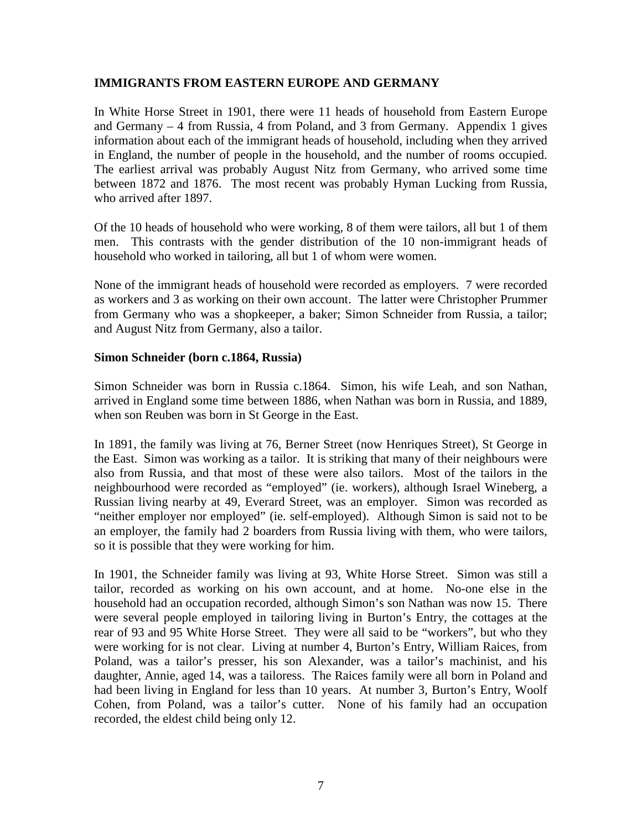#### **IMMIGRANTS FROM EASTERN EUROPE AND GERMANY**

In White Horse Street in 1901, there were 11 heads of household from Eastern Europe and Germany – 4 from Russia, 4 from Poland, and 3 from Germany. Appendix 1 gives information about each of the immigrant heads of household, including when they arrived in England, the number of people in the household, and the number of rooms occupied. The earliest arrival was probably August Nitz from Germany, who arrived some time between 1872 and 1876. The most recent was probably Hyman Lucking from Russia, who arrived after 1897.

Of the 10 heads of household who were working, 8 of them were tailors, all but 1 of them men. This contrasts with the gender distribution of the 10 non-immigrant heads of household who worked in tailoring, all but 1 of whom were women.

None of the immigrant heads of household were recorded as employers. 7 were recorded as workers and 3 as working on their own account. The latter were Christopher Prummer from Germany who was a shopkeeper, a baker; Simon Schneider from Russia, a tailor; and August Nitz from Germany, also a tailor.

#### **Simon Schneider (born c.1864, Russia)**

Simon Schneider was born in Russia c.1864. Simon, his wife Leah, and son Nathan, arrived in England some time between 1886, when Nathan was born in Russia, and 1889, when son Reuben was born in St George in the East.

In 1891, the family was living at 76, Berner Street (now Henriques Street), St George in the East. Simon was working as a tailor. It is striking that many of their neighbours were also from Russia, and that most of these were also tailors. Most of the tailors in the neighbourhood were recorded as "employed" (ie. workers), although Israel Wineberg, a Russian living nearby at 49, Everard Street, was an employer. Simon was recorded as "neither employer nor employed" (ie. self-employed). Although Simon is said not to be an employer, the family had 2 boarders from Russia living with them, who were tailors, so it is possible that they were working for him.

In 1901, the Schneider family was living at 93, White Horse Street. Simon was still a tailor, recorded as working on his own account, and at home. No-one else in the household had an occupation recorded, although Simon's son Nathan was now 15. There were several people employed in tailoring living in Burton's Entry, the cottages at the rear of 93 and 95 White Horse Street. They were all said to be "workers", but who they were working for is not clear. Living at number 4, Burton's Entry, William Raices, from Poland, was a tailor's presser, his son Alexander, was a tailor's machinist, and his daughter, Annie, aged 14, was a tailoress. The Raices family were all born in Poland and had been living in England for less than 10 years. At number 3, Burton's Entry, Woolf Cohen, from Poland, was a tailor's cutter. None of his family had an occupation recorded, the eldest child being only 12.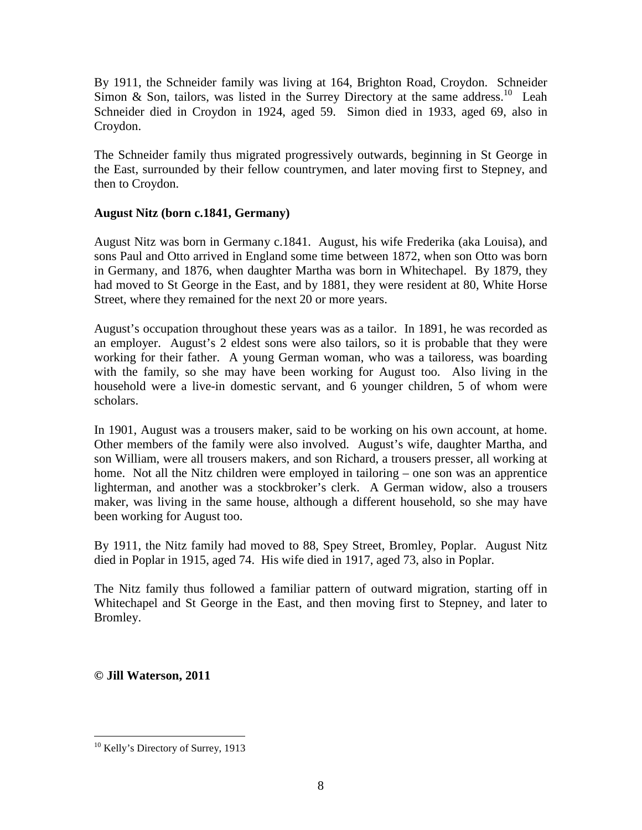By 1911, the Schneider family was living at 164, Brighton Road, Croydon. Schneider Simon & Son, tailors, was listed in the Surrey Directory at the same address.<sup>10</sup> Leah Schneider died in Croydon in 1924, aged 59. Simon died in 1933, aged 69, also in Croydon.

The Schneider family thus migrated progressively outwards, beginning in St George in the East, surrounded by their fellow countrymen, and later moving first to Stepney, and then to Croydon.

## **August Nitz (born c.1841, Germany)**

August Nitz was born in Germany c.1841. August, his wife Frederika (aka Louisa), and sons Paul and Otto arrived in England some time between 1872, when son Otto was born in Germany, and 1876, when daughter Martha was born in Whitechapel. By 1879, they had moved to St George in the East, and by 1881, they were resident at 80, White Horse Street, where they remained for the next 20 or more years.

August's occupation throughout these years was as a tailor. In 1891, he was recorded as an employer. August's 2 eldest sons were also tailors, so it is probable that they were working for their father. A young German woman, who was a tailoress, was boarding with the family, so she may have been working for August too. Also living in the household were a live-in domestic servant, and 6 younger children, 5 of whom were scholars.

In 1901, August was a trousers maker, said to be working on his own account, at home. Other members of the family were also involved. August's wife, daughter Martha, and son William, were all trousers makers, and son Richard, a trousers presser, all working at home. Not all the Nitz children were employed in tailoring – one son was an apprentice lighterman, and another was a stockbroker's clerk. A German widow, also a trousers maker, was living in the same house, although a different household, so she may have been working for August too.

By 1911, the Nitz family had moved to 88, Spey Street, Bromley, Poplar. August Nitz died in Poplar in 1915, aged 74. His wife died in 1917, aged 73, also in Poplar.

The Nitz family thus followed a familiar pattern of outward migration, starting off in Whitechapel and St George in the East, and then moving first to Stepney, and later to Bromley.

**© Jill Waterson, 2011**

 $\overline{a}$ <sup>10</sup> Kelly's Directory of Surrey, 1913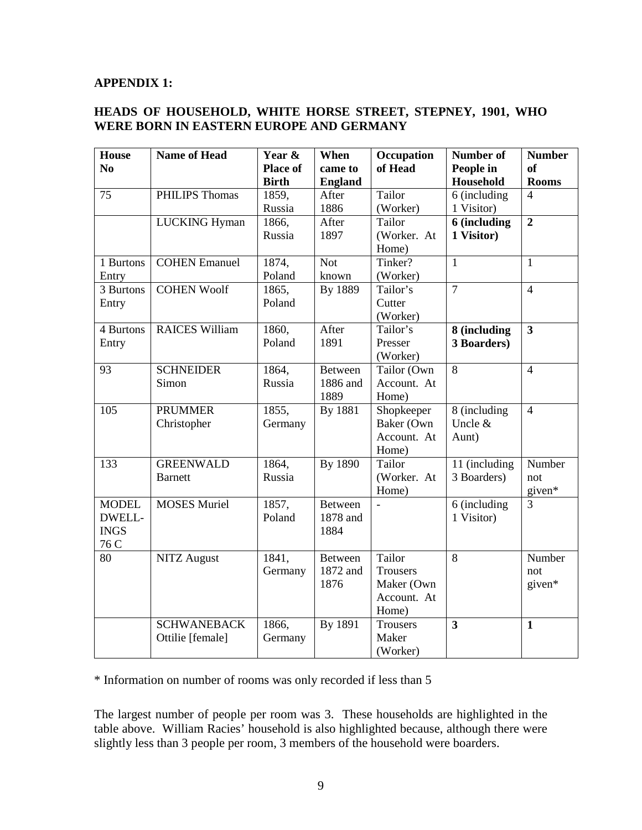#### **APPENDIX 1:**

### **HEADS OF HOUSEHOLD, WHITE HORSE STREET, STEPNEY, 1901, WHO WERE BORN IN EASTERN EUROPE AND GERMANY**

| <b>House</b>   | <b>Name of Head</b>   | Year &          | When           | Occupation      | Number of               | <b>Number</b>           |
|----------------|-----------------------|-----------------|----------------|-----------------|-------------------------|-------------------------|
| N <sub>0</sub> |                       | <b>Place of</b> | came to        | of Head         | People in               | <sub>of</sub>           |
|                |                       | <b>Birth</b>    | <b>England</b> |                 | Household               | <b>Rooms</b>            |
| 75             | <b>PHILIPS Thomas</b> | 1859.           | After          | Tailor          | 6 (including            | $\overline{4}$          |
|                |                       | Russia          | 1886           | (Worker)        | 1 Visitor)              |                         |
|                | <b>LUCKING Hyman</b>  | 1866,           | After          | Tailor          | 6 (including            | $\overline{2}$          |
|                |                       | Russia          | 1897           | (Worker. At     | 1 Visitor)              |                         |
|                |                       |                 |                | Home)           |                         |                         |
| 1 Burtons      | <b>COHEN Emanuel</b>  | 1874,           | <b>Not</b>     | Tinker?         | $\overline{1}$          | $\mathbf{1}$            |
| Entry          |                       | Poland          | known          | (Worker)        |                         |                         |
| 3 Burtons      | <b>COHEN Woolf</b>    | 1865,           | By 1889        | Tailor's        | $\overline{7}$          | $\overline{4}$          |
| Entry          |                       | Poland          |                | Cutter          |                         |                         |
|                |                       |                 |                | (Worker)        |                         |                         |
| 4 Burtons      | <b>RAICES William</b> | 1860,           | After          | Tailor's        | 8 (including            | $\overline{\mathbf{3}}$ |
| Entry          |                       | Poland          | 1891           | Presser         | 3 Boarders)             |                         |
|                |                       |                 |                | (Worker)        |                         |                         |
| 93             | <b>SCHNEIDER</b>      | 1864,           | <b>Between</b> | Tailor (Own     | $\overline{8}$          | $\overline{4}$          |
|                | Simon                 | Russia          | 1886 and       | Account. At     |                         |                         |
|                |                       |                 | 1889           | Home)           |                         |                         |
| 105            | <b>PRUMMER</b>        | 1855,           | By 1881        | Shopkeeper      | 8 (including            | $\overline{4}$          |
|                | Christopher           | Germany         |                | Baker (Own      | Uncle &                 |                         |
|                |                       |                 |                | Account. At     | Aunt)                   |                         |
|                |                       |                 |                | Home)           |                         |                         |
| 133            | <b>GREENWALD</b>      | 1864.           | By 1890        | Tailor          | 11 (including           | Number                  |
|                | <b>Barnett</b>        | Russia          |                | (Worker. At     | 3 Boarders)             | not                     |
|                |                       |                 |                | Home)           |                         | given*                  |
| <b>MODEL</b>   | <b>MOSES</b> Muriel   | 1857,           | <b>Between</b> |                 | 6 (including            | $\overline{3}$          |
| <b>DWELL-</b>  |                       | Poland          | 1878 and       |                 | 1 Visitor)              |                         |
| <b>INGS</b>    |                       |                 | 1884           |                 |                         |                         |
| 76 C           |                       |                 |                |                 |                         |                         |
| 80             | <b>NITZ</b> August    | 1841,           | <b>Between</b> | Tailor          | $\overline{8}$          | Number                  |
|                |                       | Germany         | 1872 and       | <b>Trousers</b> |                         | not                     |
|                |                       |                 | 1876           | Maker (Own      |                         | given*                  |
|                |                       |                 |                | Account. At     |                         |                         |
|                |                       |                 |                | Home)           |                         |                         |
|                | <b>SCHWANEBACK</b>    | 1866,           | By 1891        | <b>Trousers</b> | $\overline{\mathbf{3}}$ | $\mathbf{1}$            |
|                | Ottilie [female]      | Germany         |                | Maker           |                         |                         |
|                |                       |                 |                | (Worker)        |                         |                         |

\* Information on number of rooms was only recorded if less than 5

The largest number of people per room was 3. These households are highlighted in the table above. William Racies' household is also highlighted because, although there were slightly less than 3 people per room, 3 members of the household were boarders.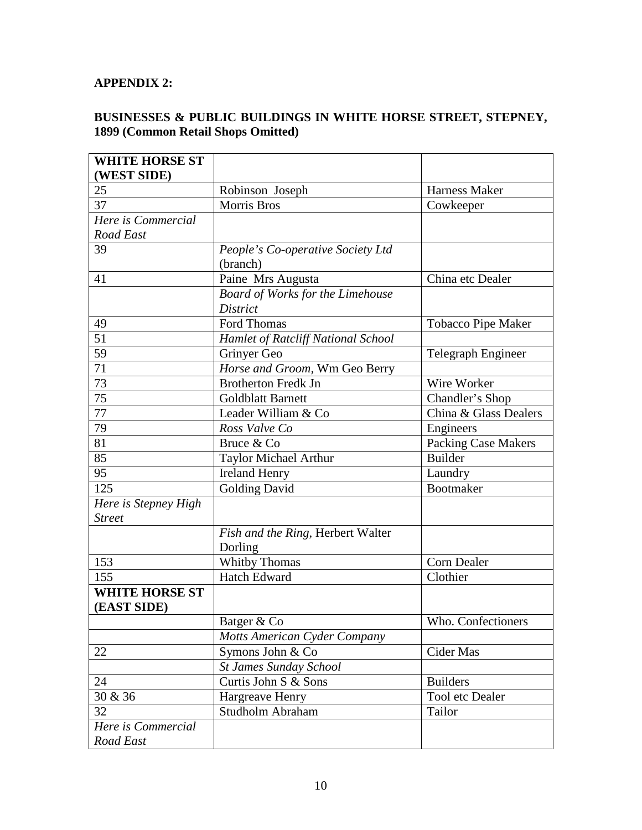# **APPENDIX 2:**

## **BUSINESSES & PUBLIC BUILDINGS IN WHITE HORSE STREET, STEPNEY, 1899 (Common Retail Shops Omitted)**

| <b>WHITE HORSE ST</b> |                                    |                            |
|-----------------------|------------------------------------|----------------------------|
| (WEST SIDE)           |                                    |                            |
| 25                    | Robinson Joseph                    | <b>Harness Maker</b>       |
| 37                    | <b>Morris Bros</b>                 | Cowkeeper                  |
| Here is Commercial    |                                    |                            |
| Road East             |                                    |                            |
| 39                    | People's Co-operative Society Ltd  |                            |
|                       | (branch)                           |                            |
| 41                    | Paine Mrs Augusta                  | China etc Dealer           |
|                       | Board of Works for the Limehouse   |                            |
|                       | <b>District</b>                    |                            |
| 49                    | Ford Thomas                        | <b>Tobacco Pipe Maker</b>  |
| 51                    | Hamlet of Ratcliff National School |                            |
| 59                    | Grinyer Geo                        | Telegraph Engineer         |
| 71                    | Horse and Groom, Wm Geo Berry      |                            |
| 73                    | <b>Brotherton Fredk Jn</b>         | Wire Worker                |
| 75                    | <b>Goldblatt Barnett</b>           | Chandler's Shop            |
| 77                    | Leader William & Co                | China & Glass Dealers      |
| 79                    | Ross Valve Co                      | Engineers                  |
| 81                    | Bruce & Co                         | <b>Packing Case Makers</b> |
| 85                    | <b>Taylor Michael Arthur</b>       | <b>Builder</b>             |
| 95                    | <b>Ireland Henry</b>               | Laundry                    |
| 125                   | <b>Golding David</b>               | Bootmaker                  |
| Here is Stepney High  |                                    |                            |
| <b>Street</b>         |                                    |                            |
|                       | Fish and the Ring, Herbert Walter  |                            |
|                       | Dorling                            |                            |
| 153                   | Whitby Thomas                      | <b>Corn Dealer</b>         |
| 155                   | Hatch Edward                       | Clothier                   |
| <b>WHITE HORSE ST</b> |                                    |                            |
| (EAST SIDE)           |                                    |                            |
|                       | Batger & Co                        | Who. Confectioners         |
|                       | Motts American Cyder Company       |                            |
| 22                    | Symons John & Co                   | Cider Mas                  |
|                       | <b>St James Sunday School</b>      |                            |
| 24                    | Curtis John S & Sons               | <b>Builders</b>            |
| 30 & 36               | Hargreave Henry                    | Tool etc Dealer            |
| 32                    | Studholm Abraham                   | Tailor                     |
| Here is Commercial    |                                    |                            |
| Road East             |                                    |                            |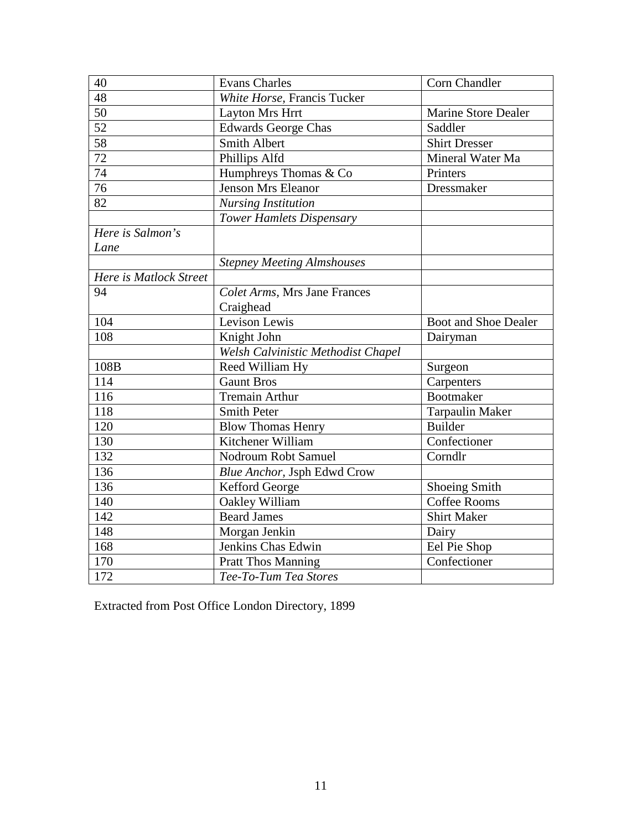| 40                     | <b>Evans Charles</b>               | Corn Chandler               |
|------------------------|------------------------------------|-----------------------------|
| 48                     | White Horse, Francis Tucker        |                             |
| $\overline{50}$        | <b>Layton Mrs Hrrt</b>             | <b>Marine Store Dealer</b>  |
| $\overline{52}$        | <b>Edwards George Chas</b>         | Saddler                     |
| 58                     | <b>Smith Albert</b>                | <b>Shirt Dresser</b>        |
| 72                     | Phillips Alfd                      | Mineral Water Ma            |
| 74                     | Humphreys Thomas & Co              | Printers                    |
| 76                     | <b>Jenson Mrs Eleanor</b>          | Dressmaker                  |
| 82                     | <b>Nursing Institution</b>         |                             |
|                        | <b>Tower Hamlets Dispensary</b>    |                             |
| Here is Salmon's       |                                    |                             |
| Lane                   |                                    |                             |
|                        | <b>Stepney Meeting Almshouses</b>  |                             |
| Here is Matlock Street |                                    |                             |
| 94                     | Colet Arms, Mrs Jane Frances       |                             |
|                        | Craighead                          |                             |
| 104                    | Levison Lewis                      | <b>Boot and Shoe Dealer</b> |
| 108                    | Knight John                        | Dairyman                    |
|                        | Welsh Calvinistic Methodist Chapel |                             |
| 108B                   | Reed William Hy                    | Surgeon                     |
| 114                    | <b>Gaunt Bros</b>                  | Carpenters                  |
| 116                    | <b>Tremain Arthur</b>              | <b>Bootmaker</b>            |
| 118                    | <b>Smith Peter</b>                 | <b>Tarpaulin Maker</b>      |
| 120                    | <b>Blow Thomas Henry</b>           | <b>Builder</b>              |
| 130                    | Kitchener William                  | Confectioner                |
| 132                    | Nodroum Robt Samuel                | Corndlr                     |
| 136                    | Blue Anchor, Jsph Edwd Crow        |                             |
| 136                    | Kefford George                     | <b>Shoeing Smith</b>        |
| 140                    | Oakley William                     | <b>Coffee Rooms</b>         |
| 142                    | <b>Beard James</b>                 | <b>Shirt Maker</b>          |
| 148                    | Morgan Jenkin                      | Dairy                       |
| 168                    | Jenkins Chas Edwin                 | Eel Pie Shop                |
| 170                    | <b>Pratt Thos Manning</b>          | Confectioner                |
| 172                    | Tee-To-Tum Tea Stores              |                             |

Extracted from Post Office London Directory, 1899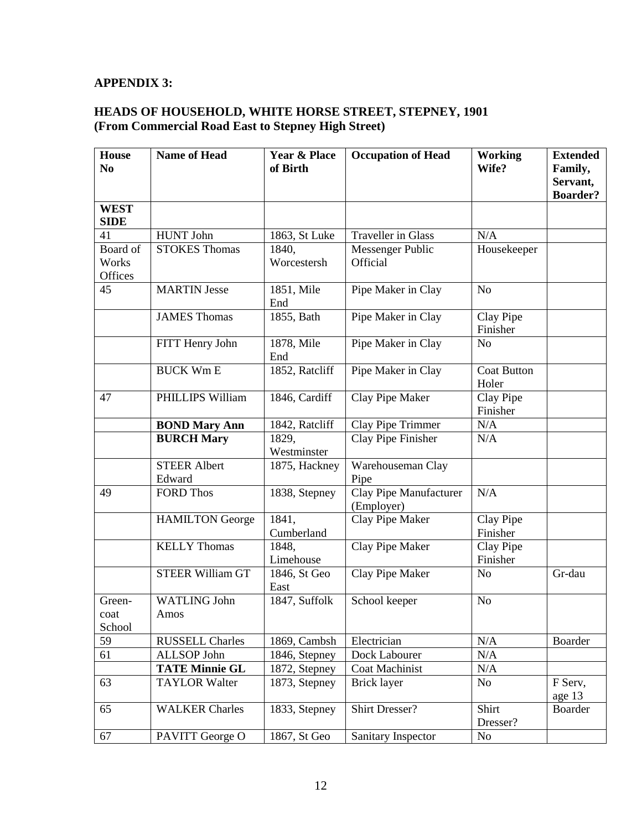# **APPENDIX 3:**

### **HEADS OF HOUSEHOLD, WHITE HORSE STREET, STEPNEY, 1901 (From Commercial Road East to Stepney High Street)**

| <b>House</b><br>N <sub>0</sub> | <b>Name of Head</b>     | <b>Year &amp; Place</b><br>of Birth | <b>Occupation of Head</b>            | <b>Working</b><br>Wife?     | <b>Extended</b><br>Family, |
|--------------------------------|-------------------------|-------------------------------------|--------------------------------------|-----------------------------|----------------------------|
|                                |                         |                                     |                                      |                             | Servant,                   |
|                                |                         |                                     |                                      |                             | <b>Boarder?</b>            |
| <b>WEST</b><br><b>SIDE</b>     |                         |                                     |                                      |                             |                            |
| 41                             | <b>HUNT John</b>        | 1863, St Luke                       | <b>Traveller</b> in Glass            | N/A                         |                            |
| Board of                       | <b>STOKES Thomas</b>    | 1840,                               | Messenger Public                     | Housekeeper                 |                            |
| Works                          |                         | Worcestersh                         | Official                             |                             |                            |
| Offices                        |                         |                                     |                                      |                             |                            |
| 45                             | <b>MARTIN Jesse</b>     | 1851, Mile<br>End                   | Pipe Maker in Clay                   | N <sub>o</sub>              |                            |
|                                | <b>JAMES Thomas</b>     | 1855, Bath                          | Pipe Maker in Clay                   | Clay Pipe<br>Finisher       |                            |
|                                | FITT Henry John         | 1878, Mile<br>End                   | Pipe Maker in Clay                   | N <sub>o</sub>              |                            |
|                                | <b>BUCK Wm E</b>        | 1852, Ratcliff                      | Pipe Maker in Clay                   | <b>Coat Button</b><br>Holer |                            |
| 47                             | PHILLIPS William        | 1846, Cardiff                       | Clay Pipe Maker                      | Clay Pipe<br>Finisher       |                            |
|                                | <b>BOND Mary Ann</b>    | 1842, Ratcliff                      | Clay Pipe Trimmer                    | N/A                         |                            |
|                                | <b>BURCH Mary</b>       | 1829,                               | Clay Pipe Finisher                   | N/A                         |                            |
|                                |                         | Westminster                         |                                      |                             |                            |
|                                | <b>STEER Albert</b>     | 1875, Hackney                       | Warehouseman Clay                    |                             |                            |
|                                | Edward                  |                                     | Pipe                                 |                             |                            |
| 49                             | <b>FORD Thos</b>        | 1838, Stepney                       | Clay Pipe Manufacturer<br>(Employer) | N/A                         |                            |
|                                | <b>HAMILTON</b> George  | 1841,                               | Clay Pipe Maker                      | Clay Pipe                   |                            |
|                                |                         | Cumberland                          |                                      | Finisher                    |                            |
|                                | <b>KELLY Thomas</b>     | 1848,                               | Clay Pipe Maker                      | Clay Pipe                   |                            |
|                                |                         | Limehouse                           |                                      | Finisher                    |                            |
|                                | <b>STEER William GT</b> | 1846, St Geo<br>East                | Clay Pipe Maker                      | N <sub>o</sub>              | Gr-dau                     |
| Green-                         | <b>WATLING John</b>     | 1847, Suffolk                       | School keeper                        | N <sub>o</sub>              |                            |
| coat                           | Amos                    |                                     |                                      |                             |                            |
| School                         |                         |                                     |                                      |                             |                            |
| 59                             | <b>RUSSELL Charles</b>  | 1869, Cambsh                        | Electrician                          | N/A                         | Boarder                    |
| 61                             | ALLSOP John             | $1846$ , Stepney                    | Dock Labourer                        | N/A                         |                            |
|                                | <b>TATE Minnie GL</b>   | 1872, Stepney                       | Coat Machinist                       | N/A                         |                            |
| 63                             | <b>TAYLOR Walter</b>    | 1873, Stepney                       | <b>Brick layer</b>                   | N <sub>o</sub>              | F Serv,<br>age 13          |
| 65                             | <b>WALKER Charles</b>   | 1833, Stepney                       | <b>Shirt Dresser?</b>                | Shirt<br>Dresser?           | Boarder                    |
| 67                             | PAVITT George O         | 1867, St Geo                        | Sanitary Inspector                   | N <sub>o</sub>              |                            |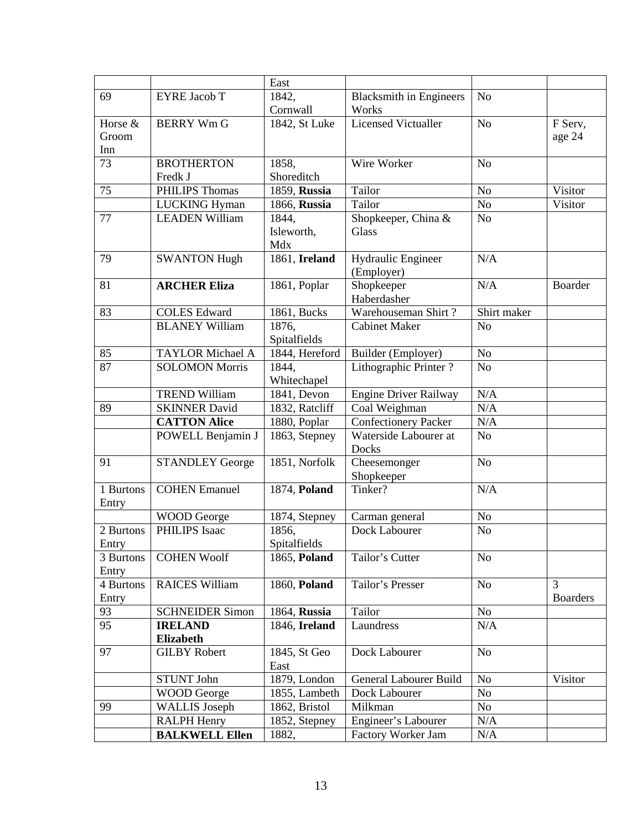|                 |                         | East                 |                                |                |                 |
|-----------------|-------------------------|----------------------|--------------------------------|----------------|-----------------|
| 69              | <b>EYRE Jacob T</b>     | 1842,                | <b>Blacksmith in Engineers</b> | N <sub>o</sub> |                 |
|                 |                         | Cornwall             | Works                          |                |                 |
| Horse &         | <b>BERRY Wm G</b>       | $1842$ , St Luke     | <b>Licensed Victualler</b>     | N <sub>o</sub> | F Serv,         |
| Groom           |                         |                      |                                |                | age 24          |
| Inn             |                         |                      |                                |                |                 |
| $\overline{73}$ | <b>BROTHERTON</b>       | 1858,                | Wire Worker                    | N <sub>o</sub> |                 |
|                 | Fredk J                 | Shoreditch           |                                |                |                 |
| 75              | PHILIPS Thomas          | 1859, Russia         | Tailor                         | N <sub>o</sub> | Visitor         |
|                 | <b>LUCKING Hyman</b>    | 1866, Russia         | Tailor                         | N <sub>o</sub> | Visitor         |
| 77              | <b>LEADEN William</b>   | 1844,                | Shopkeeper, China &            | N <sub>o</sub> |                 |
|                 |                         | Isleworth,           | Glass                          |                |                 |
|                 |                         | Mdx                  |                                |                |                 |
| 79              | <b>SWANTON Hugh</b>     | 1861, Ireland        | Hydraulic Engineer             | N/A            |                 |
|                 |                         |                      | (Employer)                     |                |                 |
| 81              | <b>ARCHER Eliza</b>     | 1861, Poplar         | Shopkeeper                     | N/A            | <b>Boarder</b>  |
|                 |                         |                      | Haberdasher                    |                |                 |
| 83              | <b>COLES</b> Edward     | 1861, Bucks          | Warehouseman Shirt?            | Shirt maker    |                 |
|                 | <b>BLANEY William</b>   | 1876,                | <b>Cabinet Maker</b>           | N <sub>o</sub> |                 |
|                 |                         | Spitalfields         |                                |                |                 |
| 85              | <b>TAYLOR Michael A</b> | 1844, Hereford       | Builder (Employer)             | N <sub>o</sub> |                 |
| 87              | <b>SOLOMON Morris</b>   | 1844,                | Lithographic Printer?          | N <sub>o</sub> |                 |
|                 |                         | Whitechapel          |                                |                |                 |
|                 | <b>TREND William</b>    | 1841, Devon          | <b>Engine Driver Railway</b>   | N/A            |                 |
| 89              | <b>SKINNER David</b>    | 1832, Ratcliff       | Coal Weighman                  | N/A            |                 |
|                 | <b>CATTON Alice</b>     | 1880, Poplar         | <b>Confectionery Packer</b>    | N/A            |                 |
|                 | POWELL Benjamin J       | 1863, Stepney        | Waterside Labourer at          | N <sub>o</sub> |                 |
|                 |                         |                      | Docks                          |                |                 |
| 91              | <b>STANDLEY George</b>  | 1851, Norfolk        | Cheesemonger                   | N <sub>o</sub> |                 |
|                 |                         |                      | Shopkeeper                     |                |                 |
| 1 Burtons       | <b>COHEN Emanuel</b>    | 1874, Poland         | Tinker?                        | N/A            |                 |
| Entry           |                         |                      |                                |                |                 |
|                 | WOOD George             | 1874, Stepney        | Carman general                 | No             |                 |
| 2 Burtons       | <b>PHILIPS</b> Isaac    | 1856,                | Dock Labourer                  | N <sub>o</sub> |                 |
| Entry           |                         | Spitalfields         |                                |                |                 |
| 3 Burtons       | <b>COHEN Woolf</b>      | 1865, Poland         | Tailor's Cutter                | N <sub>o</sub> |                 |
| Entry           |                         |                      |                                |                | $\overline{3}$  |
| 4 Burtons       | <b>RAICES William</b>   | 1860, Poland         | Tailor's Presser               | No             |                 |
| Entry           |                         |                      |                                |                | <b>Boarders</b> |
| 93<br>95        | <b>SCHNEIDER Simon</b>  | 1864, Russia         | Tailor                         | No             |                 |
|                 | <b>IRELAND</b>          | 1846, Ireland        | Laundress                      | N/A            |                 |
| 97              | <b>Elizabeth</b>        | 1845, St Geo         | Dock Labourer                  | N <sub>o</sub> |                 |
|                 | <b>GILBY Robert</b>     |                      |                                |                |                 |
|                 |                         | East<br>1879, London |                                |                | Visitor         |
|                 | <b>STUNT John</b>       |                      | General Labourer Build         | N <sub>0</sub> |                 |
|                 | <b>WOOD</b> George      | 1855, Lambeth        | Dock Labourer                  | No             |                 |
| 99              | <b>WALLIS</b> Joseph    | 1862, Bristol        | Milkman                        | No             |                 |
|                 | <b>RALPH Henry</b>      | 1852, Stepney        | Engineer's Labourer            | N/A            |                 |
|                 | <b>BALKWELL Ellen</b>   | 1882,                | Factory Worker Jam             | N/A            |                 |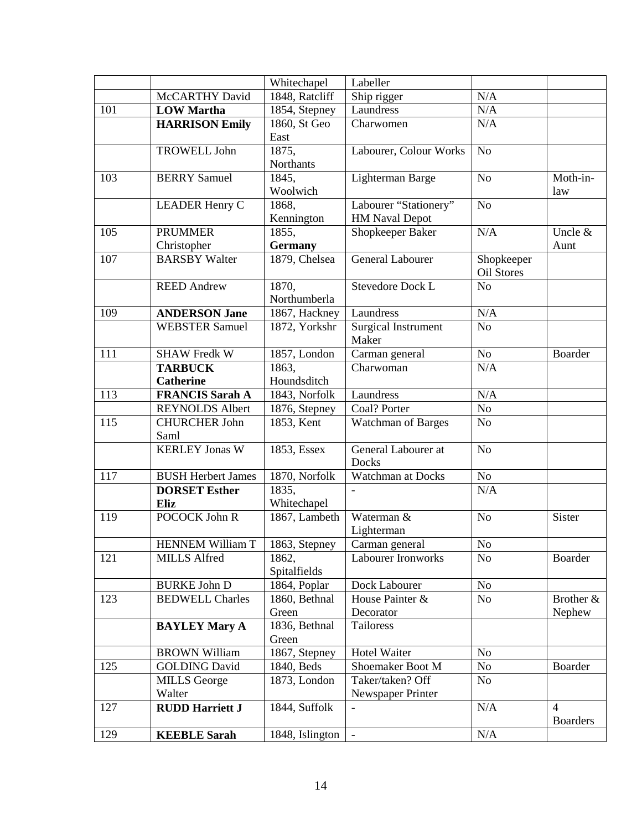|     |                           | Whitechapel            | Labeller                         |                |                 |
|-----|---------------------------|------------------------|----------------------------------|----------------|-----------------|
|     | McCARTHY David            | 1848, Ratcliff         | Ship rigger                      | N/A            |                 |
| 101 | <b>LOW Martha</b>         | 1854, Stepney          | Laundress                        | N/A            |                 |
|     | <b>HARRISON Emily</b>     | 1860, St Geo           | Charwomen                        | N/A            |                 |
|     |                           | East                   |                                  |                |                 |
|     | <b>TROWELL John</b>       | 1875,                  | Labourer, Colour Works           | N <sub>o</sub> |                 |
|     |                           | Northants              |                                  |                |                 |
| 103 | <b>BERRY</b> Samuel       | 1845,                  | Lighterman Barge                 | N <sub>o</sub> | Moth-in-        |
|     |                           | Woolwich               |                                  |                | law             |
|     | <b>LEADER Henry C</b>     | 1868,                  | Labourer "Stationery"            | N <sub>o</sub> |                 |
|     |                           | Kennington             | <b>HM Naval Depot</b>            |                |                 |
| 105 | <b>PRUMMER</b>            | 1855,                  | Shopkeeper Baker                 | N/A            | Uncle &         |
|     | Christopher               | <b>Germany</b>         |                                  |                | Aunt            |
| 107 | <b>BARSBY Walter</b>      | 1879, Chelsea          | <b>General Labourer</b>          | Shopkeeper     |                 |
|     |                           |                        |                                  | Oil Stores     |                 |
|     | <b>REED Andrew</b>        | 1870,<br>Northumberla  | <b>Stevedore Dock L</b>          | N <sub>o</sub> |                 |
| 109 | <b>ANDERSON Jane</b>      | 1867, Hackney          | Laundress                        | N/A            |                 |
|     | <b>WEBSTER Samuel</b>     | 1872, Yorkshr          | <b>Surgical Instrument</b>       | N <sub>o</sub> |                 |
|     |                           |                        | Maker                            |                |                 |
| 111 | <b>SHAW Fredk W</b>       | 1857, London           | Carman general                   | No             | Boarder         |
|     | <b>TARBUCK</b>            | 1863,                  | Charwoman                        | N/A            |                 |
|     | <b>Catherine</b>          | Houndsditch            |                                  |                |                 |
| 113 | <b>FRANCIS Sarah A</b>    | 1843, Norfolk          | Laundress                        | N/A            |                 |
|     | <b>REYNOLDS Albert</b>    | 1876, Stepney          | Coal? Porter                     | No             |                 |
| 115 | <b>CHURCHER John</b>      | 1853, Kent             | Watchman of Barges               | N <sub>o</sub> |                 |
|     | Saml                      |                        |                                  |                |                 |
|     | <b>KERLEY Jonas W</b>     | 1853, Essex            | General Labourer at              | N <sub>o</sub> |                 |
|     |                           |                        | Docks                            |                |                 |
| 117 | <b>BUSH Herbert James</b> | 1870, Norfolk          | Watchman at Docks                | $\rm No$       |                 |
|     | <b>DORSET Esther</b>      | 1835,                  |                                  | N/A            |                 |
|     | Eliz                      | Whitechapel            |                                  |                |                 |
| 119 | POCOCK John R             | 1867, Lambeth          | Waterman &                       | N <sub>o</sub> | Sister          |
|     |                           |                        | Lighterman                       |                |                 |
|     | HENNEM William T          | 1863, Stepney          | Carman general                   | $\rm No$       |                 |
| 121 | <b>MILLS Alfred</b>       | 1862,                  | <b>Labourer Ironworks</b>        | N <sub>o</sub> | Boarder         |
|     |                           | Spitalfields           |                                  |                |                 |
|     | <b>BURKE John D</b>       | 1864, Poplar           | Dock Labourer<br>House Painter & | No             |                 |
| 123 | <b>BEDWELL Charles</b>    | 1860, Bethnal<br>Green | Decorator                        | N <sub>o</sub> | Brother &       |
|     | <b>BAYLEY Mary A</b>      | 1836, Bethnal          | Tailoress                        |                | Nephew          |
|     |                           | Green                  |                                  |                |                 |
|     | <b>BROWN William</b>      | 1867, Stepney          | <b>Hotel Waiter</b>              | No             |                 |
| 125 | <b>GOLDING David</b>      | 1840, Beds             | Shoemaker Boot M                 | <b>No</b>      | <b>Boarder</b>  |
|     | <b>MILLS</b> George       | 1873, London           | Taker/taken? Off                 | No             |                 |
|     | Walter                    |                        | Newspaper Printer                |                |                 |
| 127 | <b>RUDD Harriett J</b>    | 1844, Suffolk          |                                  | N/A            | $\overline{4}$  |
|     |                           |                        |                                  |                | <b>Boarders</b> |
| 129 | <b>KEEBLE Sarah</b>       | 1848, Islington        | $\overline{\phantom{a}}$         | N/A            |                 |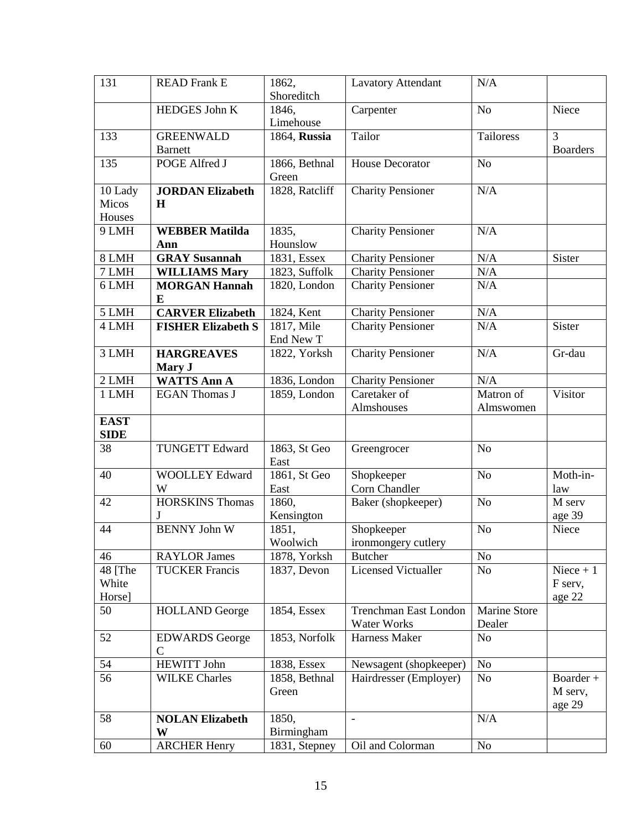| 131                        | <b>READ Frank E</b>                  | 1862,<br>Shoreditch     | <b>Lavatory Attendant</b>                   | $\rm N/A$                     |                                 |
|----------------------------|--------------------------------------|-------------------------|---------------------------------------------|-------------------------------|---------------------------------|
|                            | HEDGES John K                        | 1846,<br>Limehouse      | Carpenter                                   | N <sub>o</sub>                | Niece                           |
| 133                        | <b>GREENWALD</b><br><b>Barnett</b>   | 1864, Russia            | Tailor                                      | Tailoress                     | 3<br><b>Boarders</b>            |
| 135                        | POGE Alfred J                        | 1866, Bethnal<br>Green  | <b>House Decorator</b>                      | N <sub>o</sub>                |                                 |
| 10 Lady<br>Micos           | <b>JORDAN Elizabeth</b><br>H         | 1828, Ratcliff          | <b>Charity Pensioner</b>                    | N/A                           |                                 |
| Houses                     |                                      |                         |                                             |                               |                                 |
| 9 LMH                      | <b>WEBBER Matilda</b>                | 1835,                   | <b>Charity Pensioner</b>                    | N/A                           |                                 |
|                            | Ann                                  | Hounslow                |                                             |                               |                                 |
| 8 LMH                      | <b>GRAY Susannah</b>                 | 1831, Essex             | <b>Charity Pensioner</b>                    | N/A                           | Sister                          |
| 7 LMH                      | <b>WILLIAMS Mary</b>                 | 1823, Suffolk           | <b>Charity Pensioner</b>                    | N/A                           |                                 |
| 6 LMH                      | <b>MORGAN Hannah</b><br>E            | 1820, London            | Charity Pensioner                           | N/A                           |                                 |
| 5 LMH                      | <b>CARVER Elizabeth</b>              | 1824, Kent              | <b>Charity Pensioner</b>                    | N/A                           |                                 |
| 4 LMH                      | <b>FISHER Elizabeth S</b>            | 1817, Mile<br>End New T | <b>Charity Pensioner</b>                    | N/A                           | Sister                          |
| 3 LMH                      | <b>HARGREAVES</b><br>Mary J          | 1822, Yorksh            | <b>Charity Pensioner</b>                    | N/A                           | Gr-dau                          |
| 2 LMH                      | <b>WATTS Ann A</b>                   | 1836, London            | <b>Charity Pensioner</b>                    | N/A                           |                                 |
| 1 LMH                      | <b>EGAN Thomas J</b>                 | 1859, London            | Caretaker of<br>Almshouses                  | Matron of<br>Almswomen        | Visitor                         |
| <b>EAST</b><br><b>SIDE</b> |                                      |                         |                                             |                               |                                 |
| 38                         | <b>TUNGETT Edward</b>                | 1863, St Geo<br>East    | Greengrocer                                 | N <sub>o</sub>                |                                 |
| 40                         | <b>WOOLLEY Edward</b><br>W           | 1861, St Geo<br>East    | Shopkeeper<br>Corn Chandler                 | N <sub>o</sub>                | Moth-in-<br>law                 |
| 42                         | <b>HORSKINS Thomas</b><br>J          | 1860,<br>Kensington     | Baker (shopkeeper)                          | N <sub>o</sub>                | M serv<br>age 39                |
| 44                         | <b>BENNY John W</b>                  | 1851,<br>Woolwich       | Shopkeeper<br>ironmongery cutlery           | N <sub>o</sub>                | Niece                           |
| 46                         | <b>RAYLOR James</b>                  | 1878, Yorksh            | Butcher                                     | <b>No</b>                     |                                 |
| 48 [The<br>White<br>Horse] | <b>TUCKER Francis</b>                | 1837, Devon             | <b>Licensed Victualler</b>                  | N <sub>o</sub>                | Niece $+1$<br>F serv,<br>age 22 |
| 50                         | <b>HOLLAND</b> George                | 1854, Essex             | Trenchman East London<br><b>Water Works</b> | <b>Marine Store</b><br>Dealer |                                 |
| 52                         | <b>EDWARDS</b> George<br>$\mathbf C$ | 1853, Norfolk           | Harness Maker                               | N <sub>o</sub>                |                                 |
| 54                         | <b>HEWITT John</b>                   | 1838, Essex             | Newsagent (shopkeeper)                      | No                            |                                 |
| 56                         | <b>WILKE Charles</b>                 | 1858, Bethnal<br>Green  | Hairdresser (Employer)                      | No                            | Boarder +<br>M serv,<br>age 29  |
| 58                         | <b>NOLAN Elizabeth</b>               | 1850,                   | $\overline{\phantom{a}}$                    | N/A                           |                                 |
|                            | W                                    | Birmingham              |                                             |                               |                                 |
| 60                         | <b>ARCHER Henry</b>                  | 1831, Stepney           | Oil and Colorman                            | No                            |                                 |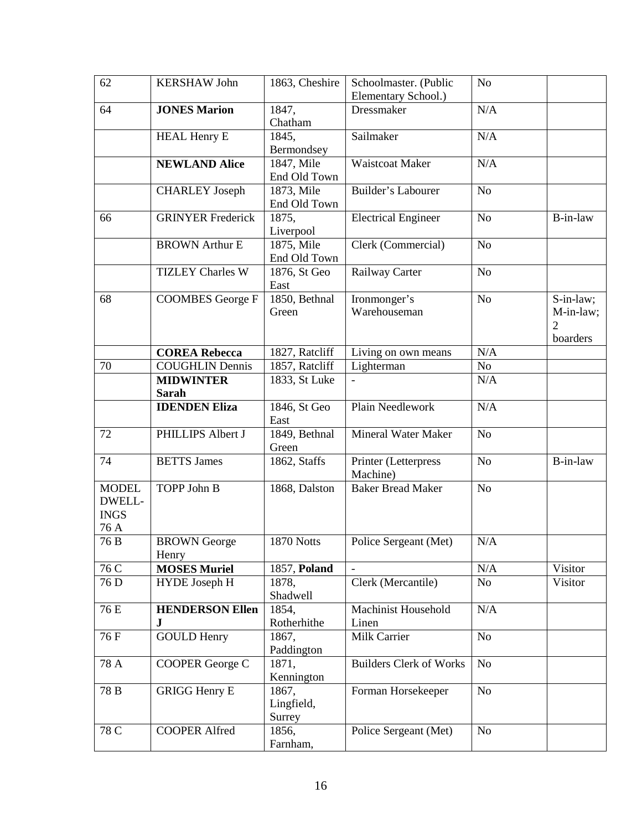| 62                                            | <b>KERSHAW John</b>                 | 1863, Cheshire                | Schoolmaster. (Public            | N <sub>o</sub> |                                                      |
|-----------------------------------------------|-------------------------------------|-------------------------------|----------------------------------|----------------|------------------------------------------------------|
|                                               |                                     |                               | Elementary School.)              |                |                                                      |
| 64                                            | <b>JONES Marion</b>                 | 1847,<br>Chatham              | Dressmaker                       | N/A            |                                                      |
|                                               | <b>HEAL Henry E</b>                 | 1845,<br>Bermondsey           | Sailmaker                        | N/A            |                                                      |
|                                               | <b>NEWLAND Alice</b>                | 1847, Mile<br>End Old Town    | <b>Waistcoat Maker</b>           | N/A            |                                                      |
|                                               | <b>CHARLEY</b> Joseph               | 1873, Mile<br>End Old Town    | Builder's Labourer               | N <sub>o</sub> |                                                      |
| 66                                            | <b>GRINYER Frederick</b>            | 1875,<br>Liverpool            | <b>Electrical Engineer</b>       | N <sub>o</sub> | B-in-law                                             |
|                                               | <b>BROWN Arthur E</b>               | 1875, Mile<br>End Old Town    | Clerk (Commercial)               | N <sub>o</sub> |                                                      |
|                                               | <b>TIZLEY Charles W</b>             | 1876, St Geo<br>East          | Railway Carter                   | N <sub>o</sub> |                                                      |
| 68                                            | <b>COOMBES George F</b>             | 1850, Bethnal<br>Green        | Ironmonger's<br>Warehouseman     | N <sub>o</sub> | S-in-law;<br>M-in-law;<br>$\overline{2}$<br>boarders |
|                                               | <b>COREA Rebecca</b>                | 1827, Ratcliff                | Living on own means              | N/A            |                                                      |
| 70                                            | <b>COUGHLIN Dennis</b>              | 1857, Ratcliff                | Lighterman                       | No             |                                                      |
|                                               | <b>MIDWINTER</b><br><b>Sarah</b>    | 1833, St Luke                 | $\blacksquare$                   | N/A            |                                                      |
|                                               | <b>IDENDEN Eliza</b>                | 1846, St Geo<br>East          | Plain Needlework                 | N/A            |                                                      |
| 72                                            | PHILLIPS Albert J                   | 1849, Bethnal<br>Green        | <b>Mineral Water Maker</b>       | N <sub>o</sub> |                                                      |
| 74                                            | <b>BETTS James</b>                  | 1862, Staffs                  | Printer (Letterpress<br>Machine) | N <sub>o</sub> | B-in-law                                             |
| <b>MODEL</b><br>DWELL-<br><b>INGS</b><br>76 A | TOPP John B                         | 1868, Dalston                 | <b>Baker Bread Maker</b>         | N <sub>o</sub> |                                                      |
| 76 B                                          | <b>BROWN</b> George<br>Henry        | 1870 Notts                    | Police Sergeant (Met)            | N/A            |                                                      |
| 76 C                                          | <b>MOSES Muriel</b>                 | 1857, Poland                  |                                  | N/A            | Visitor                                              |
| 76 D                                          | <b>HYDE Joseph H</b>                | 1878,<br>Shadwell             | Clerk (Mercantile)               | No             | Visitor                                              |
| 76 E                                          | <b>HENDERSON Ellen</b><br>${\bf J}$ | 1854,<br>Rotherhithe          | Machinist Household<br>Linen     | N/A            |                                                      |
| 76F                                           | <b>GOULD Henry</b>                  | 1867,<br>Paddington           | Milk Carrier                     | No             |                                                      |
| 78 A                                          | COOPER George C                     | 1871,<br>Kennington           | <b>Builders Clerk of Works</b>   | No             |                                                      |
| $\overline{78}B$                              | <b>GRIGG Henry E</b>                | 1867,<br>Lingfield,<br>Surrey | Forman Horsekeeper               | No             |                                                      |
| 78 C                                          | <b>COOPER Alfred</b>                | 1856,<br>Farnham,             | Police Sergeant (Met)            | N <sub>o</sub> |                                                      |